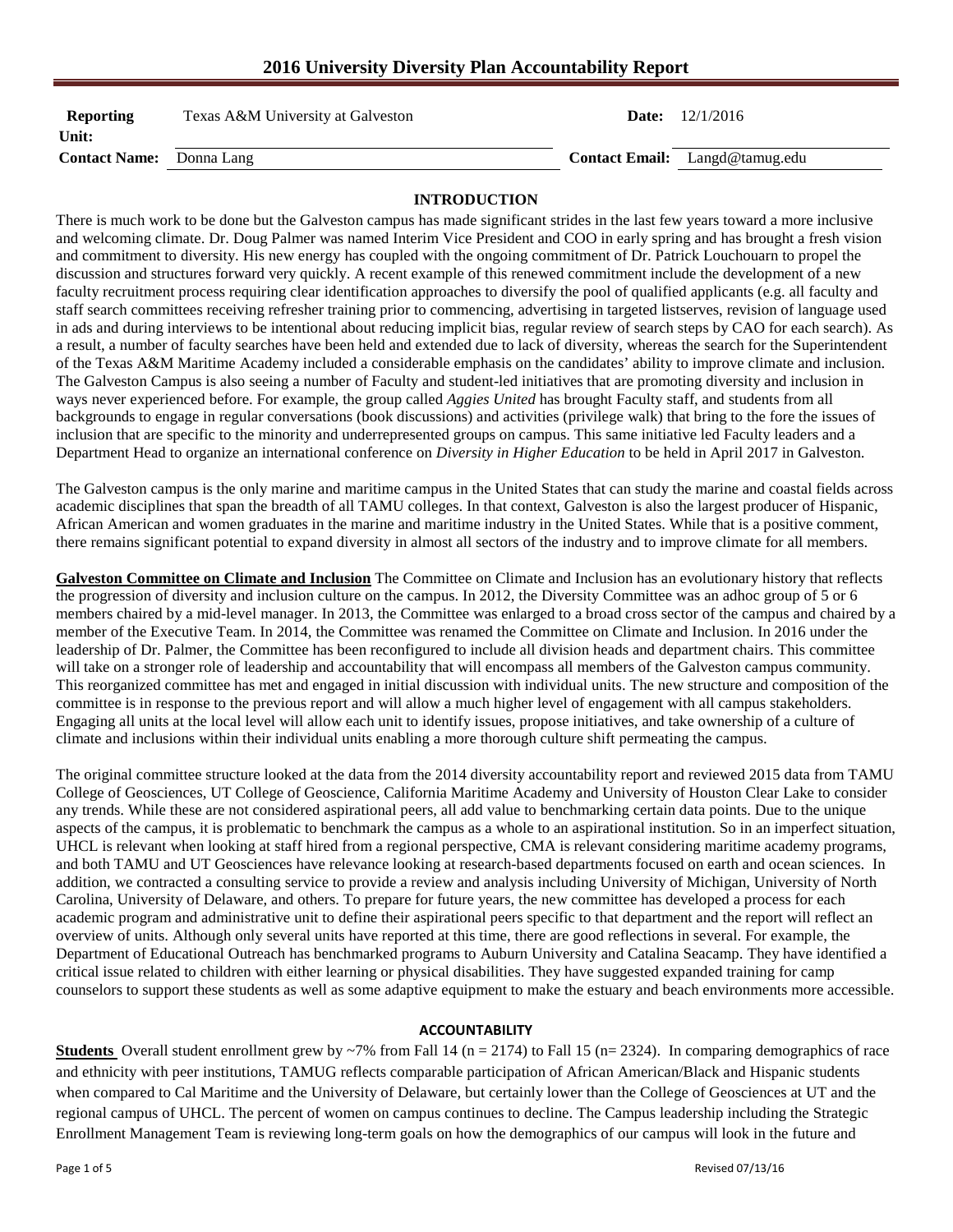# **2016 University Diversity Plan Accountability Report**

| Reporting<br>Unit:              | Texas A&M University at Galveston | <b>Date:</b> $12/1/2016$              |
|---------------------------------|-----------------------------------|---------------------------------------|
| <b>Contact Name:</b> Donna Lang |                                   | <b>Contact Email:</b> Langd@tamug.edu |

### **INTRODUCTION**

There is much work to be done but the Galveston campus has made significant strides in the last few years toward a more inclusive and welcoming climate. Dr. Doug Palmer was named Interim Vice President and COO in early spring and has brought a fresh vision and commitment to diversity. His new energy has coupled with the ongoing commitment of Dr. Patrick Louchouarn to propel the discussion and structures forward very quickly. A recent example of this renewed commitment include the development of a new faculty recruitment process requiring clear identification approaches to diversify the pool of qualified applicants (e.g. all faculty and staff search committees receiving refresher training prior to commencing, advertising in targeted listserves, revision of language used in ads and during interviews to be intentional about reducing implicit bias, regular review of search steps by CAO for each search). As a result, a number of faculty searches have been held and extended due to lack of diversity, whereas the search for the Superintendent of the Texas A&M Maritime Academy included a considerable emphasis on the candidates' ability to improve climate and inclusion. The Galveston Campus is also seeing a number of Faculty and student-led initiatives that are promoting diversity and inclusion in ways never experienced before. For example, the group called *Aggies United* has brought Faculty staff, and students from all backgrounds to engage in regular conversations (book discussions) and activities (privilege walk) that bring to the fore the issues of inclusion that are specific to the minority and underrepresented groups on campus. This same initiative led Faculty leaders and a Department Head to organize an international conference on *Diversity in Higher Education* to be held in April 2017 in Galveston.

The Galveston campus is the only marine and maritime campus in the United States that can study the marine and coastal fields across academic disciplines that span the breadth of all TAMU colleges. In that context, Galveston is also the largest producer of Hispanic, African American and women graduates in the marine and maritime industry in the United States. While that is a positive comment, there remains significant potential to expand diversity in almost all sectors of the industry and to improve climate for all members.

**Galveston Committee on Climate and Inclusion** The Committee on Climate and Inclusion has an evolutionary history that reflects the progression of diversity and inclusion culture on the campus. In 2012, the Diversity Committee was an adhoc group of 5 or 6 members chaired by a mid-level manager. In 2013, the Committee was enlarged to a broad cross sector of the campus and chaired by a member of the Executive Team. In 2014, the Committee was renamed the Committee on Climate and Inclusion. In 2016 under the leadership of Dr. Palmer, the Committee has been reconfigured to include all division heads and department chairs. This committee will take on a stronger role of leadership and accountability that will encompass all members of the Galveston campus community. This reorganized committee has met and engaged in initial discussion with individual units. The new structure and composition of the committee is in response to the previous report and will allow a much higher level of engagement with all campus stakeholders. Engaging all units at the local level will allow each unit to identify issues, propose initiatives, and take ownership of a culture of climate and inclusions within their individual units enabling a more thorough culture shift permeating the campus.

The original committee structure looked at the data from the 2014 diversity accountability report and reviewed 2015 data from TAMU College of Geosciences, UT College of Geoscience, California Maritime Academy and University of Houston Clear Lake to consider any trends. While these are not considered aspirational peers, all add value to benchmarking certain data points. Due to the unique aspects of the campus, it is problematic to benchmark the campus as a whole to an aspirational institution. So in an imperfect situation, UHCL is relevant when looking at staff hired from a regional perspective, CMA is relevant considering maritime academy programs, and both TAMU and UT Geosciences have relevance looking at research-based departments focused on earth and ocean sciences. In addition, we contracted a consulting service to provide a review and analysis including University of Michigan, University of North Carolina, University of Delaware, and others. To prepare for future years, the new committee has developed a process for each academic program and administrative unit to define their aspirational peers specific to that department and the report will reflect an overview of units. Although only several units have reported at this time, there are good reflections in several. For example, the Department of Educational Outreach has benchmarked programs to Auburn University and Catalina Seacamp. They have identified a critical issue related to children with either learning or physical disabilities. They have suggested expanded training for camp counselors to support these students as well as some adaptive equipment to make the estuary and beach environments more accessible.

#### **ACCOUNTABILITY**

**Students** Overall student enrollment grew by  $\sim$ 7% from Fall 14 (n = 2174) to Fall 15 (n= 2324). In comparing demographics of race and ethnicity with peer institutions, TAMUG reflects comparable participation of African American/Black and Hispanic students when compared to Cal Maritime and the University of Delaware, but certainly lower than the College of Geosciences at UT and the regional campus of UHCL. The percent of women on campus continues to decline. The Campus leadership including the Strategic Enrollment Management Team is reviewing long-term goals on how the demographics of our campus will look in the future and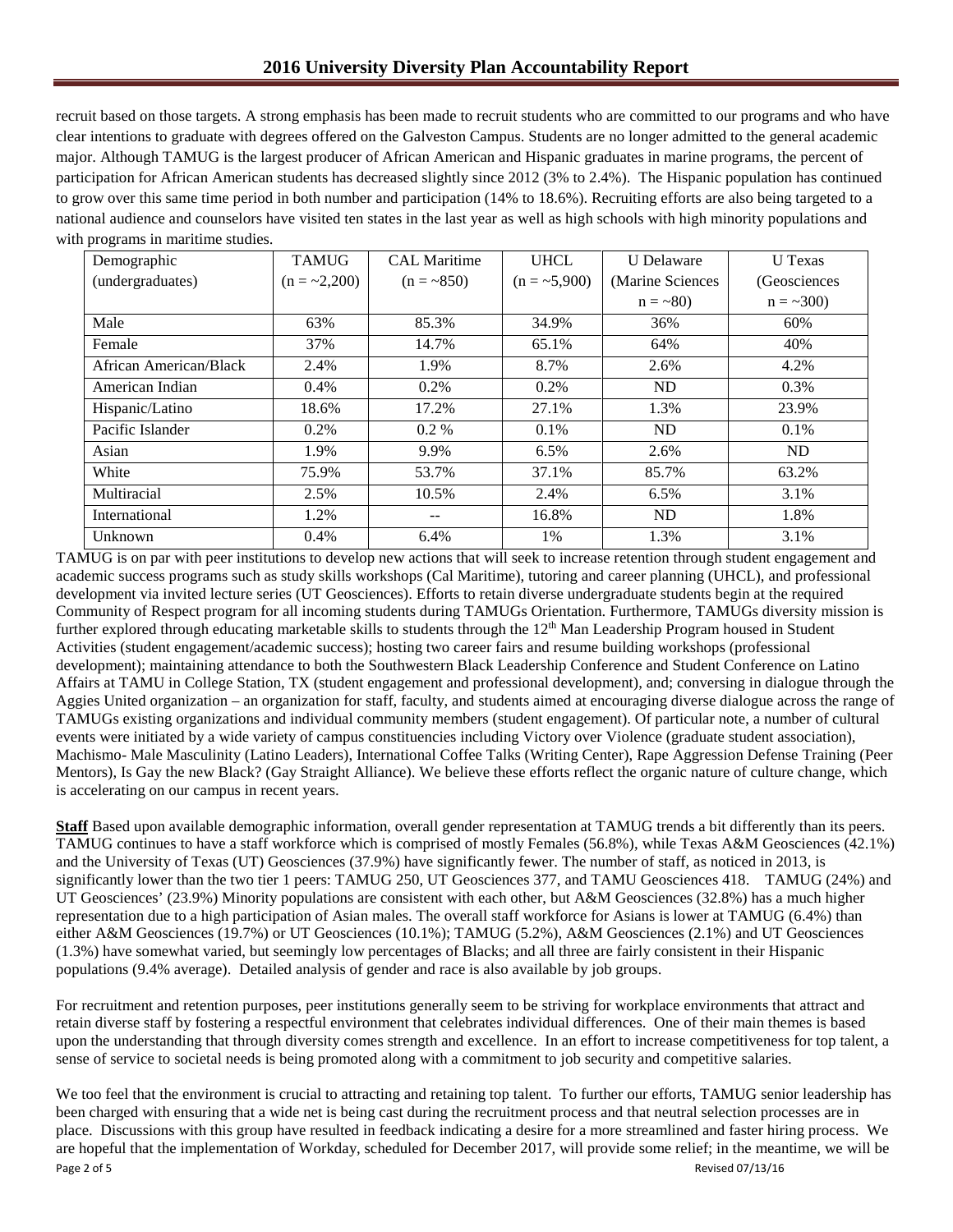recruit based on those targets. A strong emphasis has been made to recruit students who are committed to our programs and who have clear intentions to graduate with degrees offered on the Galveston Campus. Students are no longer admitted to the general academic major. Although TAMUG is the largest producer of African American and Hispanic graduates in marine programs, the percent of participation for African American students has decreased slightly since 2012 (3% to 2.4%). The Hispanic population has continued to grow over this same time period in both number and participation (14% to 18.6%). Recruiting efforts are also being targeted to a national audience and counselors have visited ten states in the last year as well as high schools with high minority populations and with programs in maritime studies.

| Demographic            | <b>TAMUG</b>   | <b>CAL Maritime</b> | <b>UHCL</b>    | <b>U</b> Delaware | U Texas        |
|------------------------|----------------|---------------------|----------------|-------------------|----------------|
| (undergraduates)       | $(n = -2,200)$ | $(n = -850)$        | $(n = -5,900)$ | (Marine Sciences  | (Geosciences   |
|                        |                |                     |                | $n = -80$         | $n = -300$     |
| Male                   | 63%            | 85.3%               | 34.9%          | 36%               | 60%            |
| Female                 | 37%            | 14.7%               | 65.1%          | 64%               | 40%            |
| African American/Black | 2.4%           | 1.9%                | 8.7%           | 2.6%              | 4.2%           |
| American Indian        | 0.4%           | $0.2\%$             | $0.2\%$        | ND                | 0.3%           |
| Hispanic/Latino        | 18.6%          | 17.2%               | 27.1%          | 1.3%              | 23.9%          |
| Pacific Islander       | 0.2%           | $0.2\%$             | $0.1\%$        | N <sub>D</sub>    | 0.1%           |
| Asian                  | 1.9%           | 9.9%                | $6.5\%$        | 2.6%              | N <sub>D</sub> |
| White                  | 75.9%          | 53.7%               | 37.1%          | 85.7%             | 63.2%          |
| Multiracial            | 2.5%           | 10.5%               | 2.4%           | 6.5%              | 3.1%           |
| International          | 1.2%           | --                  | 16.8%          | N <sub>D</sub>    | 1.8%           |
| Unknown                | 0.4%           | 6.4%                | 1%             | 1.3%              | 3.1%           |

TAMUG is on par with peer institutions to develop new actions that will seek to increase retention through student engagement and academic success programs such as study skills workshops (Cal Maritime), tutoring and career planning (UHCL), and professional development via invited lecture series (UT Geosciences). Efforts to retain diverse undergraduate students begin at the required Community of Respect program for all incoming students during TAMUGs Orientation. Furthermore, TAMUGs diversity mission is further explored through educating marketable skills to students through the 12<sup>th</sup> Man Leadership Program housed in Student Activities (student engagement/academic success); hosting two career fairs and resume building workshops (professional development); maintaining attendance to both the Southwestern Black Leadership Conference and Student Conference on Latino Affairs at TAMU in College Station, TX (student engagement and professional development), and; conversing in dialogue through the Aggies United organization – an organization for staff, faculty, and students aimed at encouraging diverse dialogue across the range of TAMUGs existing organizations and individual community members (student engagement). Of particular note, a number of cultural events were initiated by a wide variety of campus constituencies including Victory over Violence (graduate student association), Machismo- Male Masculinity (Latino Leaders), International Coffee Talks (Writing Center), Rape Aggression Defense Training (Peer Mentors), Is Gay the new Black? (Gay Straight Alliance). We believe these efforts reflect the organic nature of culture change, which is accelerating on our campus in recent years.

**Staff** Based upon available demographic information, overall gender representation at TAMUG trends a bit differently than its peers. TAMUG continues to have a staff workforce which is comprised of mostly Females (56.8%), while Texas A&M Geosciences (42.1%) and the University of Texas (UT) Geosciences (37.9%) have significantly fewer. The number of staff, as noticed in 2013, is significantly lower than the two tier 1 peers: TAMUG 250, UT Geosciences 377, and TAMU Geosciences 418. TAMUG (24%) and UT Geosciences' (23.9%) Minority populations are consistent with each other, but A&M Geosciences (32.8%) has a much higher representation due to a high participation of Asian males. The overall staff workforce for Asians is lower at TAMUG (6.4%) than either A&M Geosciences (19.7%) or UT Geosciences (10.1%); TAMUG (5.2%), A&M Geosciences (2.1%) and UT Geosciences (1.3%) have somewhat varied, but seemingly low percentages of Blacks; and all three are fairly consistent in their Hispanic populations (9.4% average). Detailed analysis of gender and race is also available by job groups.

For recruitment and retention purposes, peer institutions generally seem to be striving for workplace environments that attract and retain diverse staff by fostering a respectful environment that celebrates individual differences. One of their main themes is based upon the understanding that through diversity comes strength and excellence. In an effort to increase competitiveness for top talent, a sense of service to societal needs is being promoted along with a commitment to job security and competitive salaries.

Page 2 of 5 Revised 07/13/16 We too feel that the environment is crucial to attracting and retaining top talent. To further our efforts, TAMUG senior leadership has been charged with ensuring that a wide net is being cast during the recruitment process and that neutral selection processes are in place. Discussions with this group have resulted in feedback indicating a desire for a more streamlined and faster hiring process. We are hopeful that the implementation of Workday, scheduled for December 2017, will provide some relief; in the meantime, we will be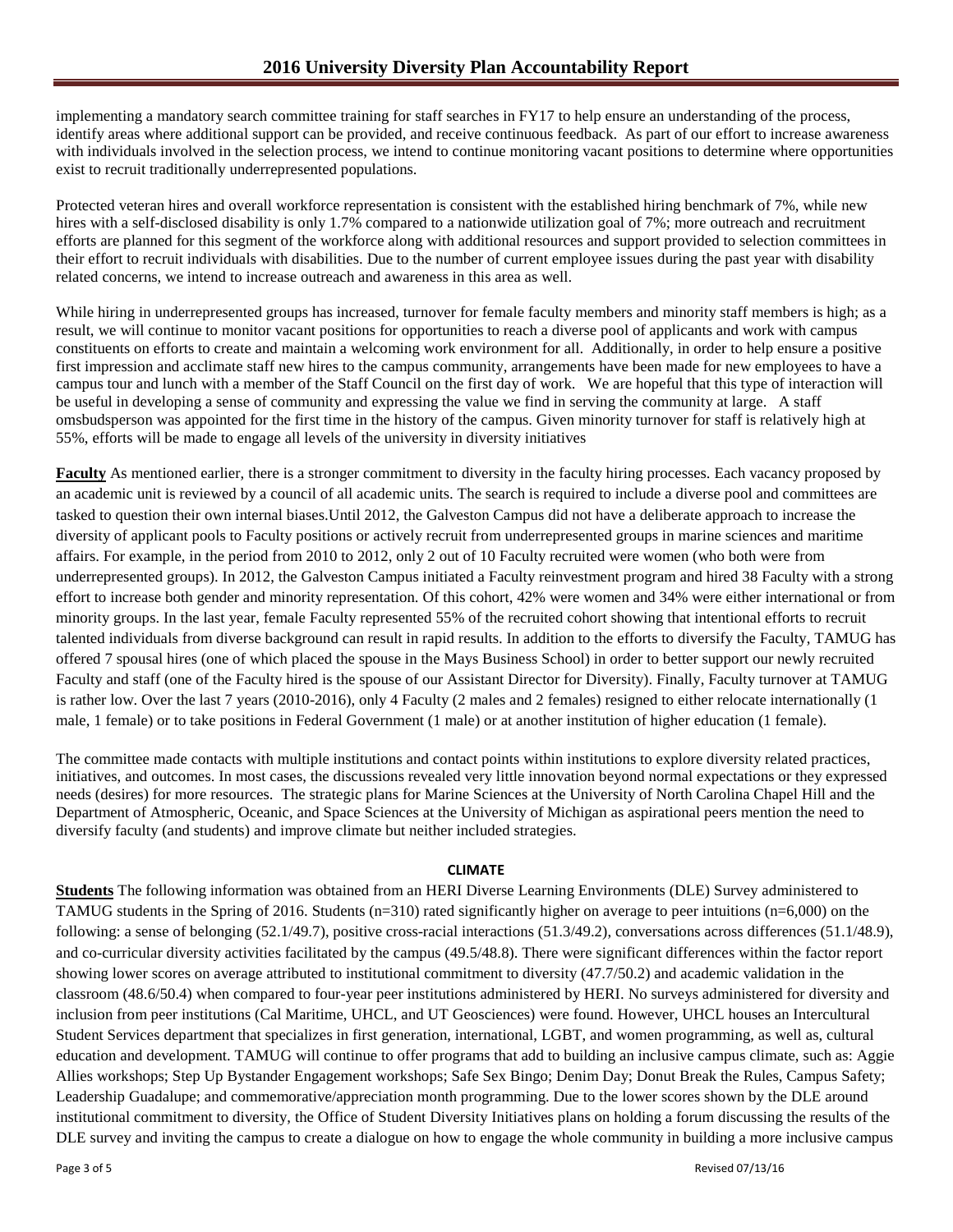implementing a mandatory search committee training for staff searches in FY17 to help ensure an understanding of the process, identify areas where additional support can be provided, and receive continuous feedback. As part of our effort to increase awareness with individuals involved in the selection process, we intend to continue monitoring vacant positions to determine where opportunities exist to recruit traditionally underrepresented populations.

Protected veteran hires and overall workforce representation is consistent with the established hiring benchmark of 7%, while new hires with a self-disclosed disability is only 1.7% compared to a nationwide utilization goal of 7%; more outreach and recruitment efforts are planned for this segment of the workforce along with additional resources and support provided to selection committees in their effort to recruit individuals with disabilities. Due to the number of current employee issues during the past year with disability related concerns, we intend to increase outreach and awareness in this area as well.

While hiring in underrepresented groups has increased, turnover for female faculty members and minority staff members is high; as a result, we will continue to monitor vacant positions for opportunities to reach a diverse pool of applicants and work with campus constituents on efforts to create and maintain a welcoming work environment for all. Additionally, in order to help ensure a positive first impression and acclimate staff new hires to the campus community, arrangements have been made for new employees to have a campus tour and lunch with a member of the Staff Council on the first day of work. We are hopeful that this type of interaction will be useful in developing a sense of community and expressing the value we find in serving the community at large. A staff omsbudsperson was appointed for the first time in the history of the campus. Given minority turnover for staff is relatively high at 55%, efforts will be made to engage all levels of the university in diversity initiatives

**Faculty** As mentioned earlier, there is a stronger commitment to diversity in the faculty hiring processes. Each vacancy proposed by an academic unit is reviewed by a council of all academic units. The search is required to include a diverse pool and committees are tasked to question their own internal biases.Until 2012, the Galveston Campus did not have a deliberate approach to increase the diversity of applicant pools to Faculty positions or actively recruit from underrepresented groups in marine sciences and maritime affairs. For example, in the period from 2010 to 2012, only 2 out of 10 Faculty recruited were women (who both were from underrepresented groups). In 2012, the Galveston Campus initiated a Faculty reinvestment program and hired 38 Faculty with a strong effort to increase both gender and minority representation. Of this cohort, 42% were women and 34% were either international or from minority groups. In the last year, female Faculty represented 55% of the recruited cohort showing that intentional efforts to recruit talented individuals from diverse background can result in rapid results. In addition to the efforts to diversify the Faculty, TAMUG has offered 7 spousal hires (one of which placed the spouse in the Mays Business School) in order to better support our newly recruited Faculty and staff (one of the Faculty hired is the spouse of our Assistant Director for Diversity). Finally, Faculty turnover at TAMUG is rather low. Over the last 7 years (2010-2016), only 4 Faculty (2 males and 2 females) resigned to either relocate internationally (1 male, 1 female) or to take positions in Federal Government (1 male) or at another institution of higher education (1 female).

The committee made contacts with multiple institutions and contact points within institutions to explore diversity related practices, initiatives, and outcomes. In most cases, the discussions revealed very little innovation beyond normal expectations or they expressed needs (desires) for more resources. The strategic plans for Marine Sciences at the University of North Carolina Chapel Hill and the Department of Atmospheric, Oceanic, and Space Sciences at the University of Michigan as aspirational peers mention the need to diversify faculty (and students) and improve climate but neither included strategies.

## **CLIMATE**

**Students** The following information was obtained from an HERI Diverse Learning Environments (DLE) Survey administered to TAMUG students in the Spring of 2016. Students (n=310) rated significantly higher on average to peer intuitions (n=6,000) on the following: a sense of belonging (52.1/49.7), positive cross-racial interactions (51.3/49.2), conversations across differences (51.1/48.9), and co-curricular diversity activities facilitated by the campus (49.5/48.8). There were significant differences within the factor report showing lower scores on average attributed to institutional commitment to diversity (47.7/50.2) and academic validation in the classroom (48.6/50.4) when compared to four-year peer institutions administered by HERI. No surveys administered for diversity and inclusion from peer institutions (Cal Maritime, UHCL, and UT Geosciences) were found. However, UHCL houses an Intercultural Student Services department that specializes in first generation, international, LGBT, and women programming, as well as, cultural education and development. TAMUG will continue to offer programs that add to building an inclusive campus climate, such as: Aggie Allies workshops; Step Up Bystander Engagement workshops; Safe Sex Bingo; Denim Day; Donut Break the Rules, Campus Safety; Leadership Guadalupe; and commemorative/appreciation month programming. Due to the lower scores shown by the DLE around institutional commitment to diversity, the Office of Student Diversity Initiatives plans on holding a forum discussing the results of the DLE survey and inviting the campus to create a dialogue on how to engage the whole community in building a more inclusive campus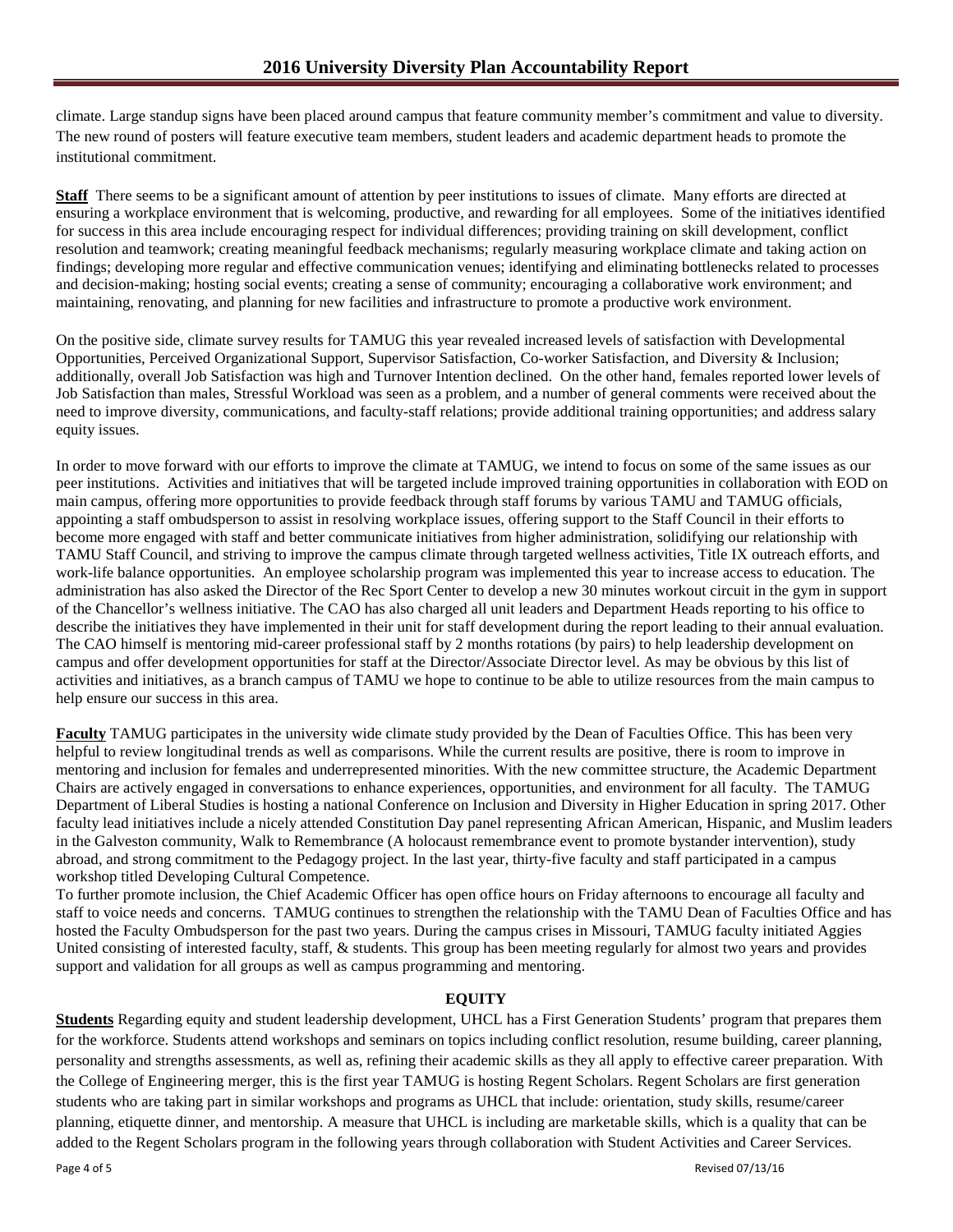climate. Large standup signs have been placed around campus that feature community member's commitment and value to diversity. The new round of posters will feature executive team members, student leaders and academic department heads to promote the institutional commitment.

**Staff** There seems to be a significant amount of attention by peer institutions to issues of climate. Many efforts are directed at ensuring a workplace environment that is welcoming, productive, and rewarding for all employees. Some of the initiatives identified for success in this area include encouraging respect for individual differences; providing training on skill development, conflict resolution and teamwork; creating meaningful feedback mechanisms; regularly measuring workplace climate and taking action on findings; developing more regular and effective communication venues; identifying and eliminating bottlenecks related to processes and decision-making; hosting social events; creating a sense of community; encouraging a collaborative work environment; and maintaining, renovating, and planning for new facilities and infrastructure to promote a productive work environment.

On the positive side, climate survey results for TAMUG this year revealed increased levels of satisfaction with Developmental Opportunities, Perceived Organizational Support, Supervisor Satisfaction, Co-worker Satisfaction, and Diversity & Inclusion; additionally, overall Job Satisfaction was high and Turnover Intention declined. On the other hand, females reported lower levels of Job Satisfaction than males, Stressful Workload was seen as a problem, and a number of general comments were received about the need to improve diversity, communications, and faculty-staff relations; provide additional training opportunities; and address salary equity issues.

In order to move forward with our efforts to improve the climate at TAMUG, we intend to focus on some of the same issues as our peer institutions. Activities and initiatives that will be targeted include improved training opportunities in collaboration with EOD on main campus, offering more opportunities to provide feedback through staff forums by various TAMU and TAMUG officials, appointing a staff ombudsperson to assist in resolving workplace issues, offering support to the Staff Council in their efforts to become more engaged with staff and better communicate initiatives from higher administration, solidifying our relationship with TAMU Staff Council, and striving to improve the campus climate through targeted wellness activities, Title IX outreach efforts, and work-life balance opportunities. An employee scholarship program was implemented this year to increase access to education. The administration has also asked the Director of the Rec Sport Center to develop a new 30 minutes workout circuit in the gym in support of the Chancellor's wellness initiative. The CAO has also charged all unit leaders and Department Heads reporting to his office to describe the initiatives they have implemented in their unit for staff development during the report leading to their annual evaluation. The CAO himself is mentoring mid-career professional staff by 2 months rotations (by pairs) to help leadership development on campus and offer development opportunities for staff at the Director/Associate Director level. As may be obvious by this list of activities and initiatives, as a branch campus of TAMU we hope to continue to be able to utilize resources from the main campus to help ensure our success in this area.

**Faculty** TAMUG participates in the university wide climate study provided by the Dean of Faculties Office. This has been very helpful to review longitudinal trends as well as comparisons. While the current results are positive, there is room to improve in mentoring and inclusion for females and underrepresented minorities. With the new committee structure, the Academic Department Chairs are actively engaged in conversations to enhance experiences, opportunities, and environment for all faculty. The TAMUG Department of Liberal Studies is hosting a national Conference on Inclusion and Diversity in Higher Education in spring 2017. Other faculty lead initiatives include a nicely attended Constitution Day panel representing African American, Hispanic, and Muslim leaders in the Galveston community, Walk to Remembrance (A holocaust remembrance event to promote bystander intervention), study abroad, and strong commitment to the Pedagogy project. In the last year, thirty-five faculty and staff participated in a campus workshop titled Developing Cultural Competence.

To further promote inclusion, the Chief Academic Officer has open office hours on Friday afternoons to encourage all faculty and staff to voice needs and concerns. TAMUG continues to strengthen the relationship with the TAMU Dean of Faculties Office and has hosted the Faculty Ombudsperson for the past two years. During the campus crises in Missouri, TAMUG faculty initiated Aggies United consisting of interested faculty, staff, & students. This group has been meeting regularly for almost two years and provides support and validation for all groups as well as campus programming and mentoring.

## **EQUITY**

**Students** Regarding equity and student leadership development, UHCL has a First Generation Students' program that prepares them for the workforce. Students attend workshops and seminars on topics including conflict resolution, resume building, career planning, personality and strengths assessments, as well as, refining their academic skills as they all apply to effective career preparation. With the College of Engineering merger, this is the first year TAMUG is hosting Regent Scholars. Regent Scholars are first generation students who are taking part in similar workshops and programs as UHCL that include: orientation, study skills, resume/career planning, etiquette dinner, and mentorship. A measure that UHCL is including are marketable skills, which is a quality that can be added to the Regent Scholars program in the following years through collaboration with Student Activities and Career Services.